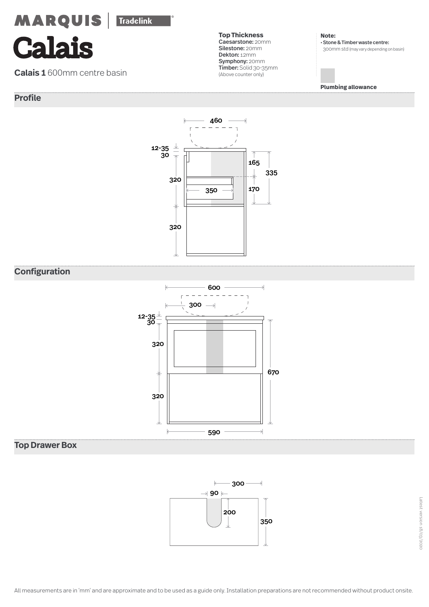**Calais**

**Calais 1** 600mm centre basin

# **Profile**

**Top Thickness** Caesarstone: 20mm Silestone: 20mm Dekton: 12mm Symphony: 20mm Timber: Solid 30-35mm (Above counter only)

**Note:**  • Stone & Timber waste centre: 300mm std (may vary depending on basin)

**Plumbing allowance**



# **Configuration**



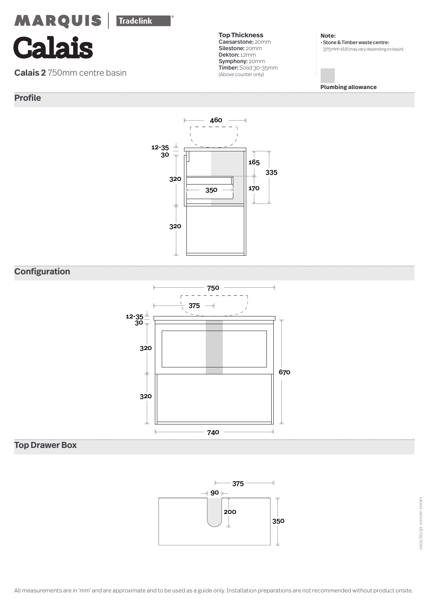**Calais**

**Calais 2** 750mm centre basin

# **Profile**

**Top Thickness** Caesarstone: 20mm Silestone: 20mm Dekton: 12mm Symphony: 20mm Timber: Solid 30-35mm (Above counter only)

**Note:**  • Stone & Timber waste centre: 375mm std (may vary depending on basin)

**Plumbing allowance**



# **Configuration**



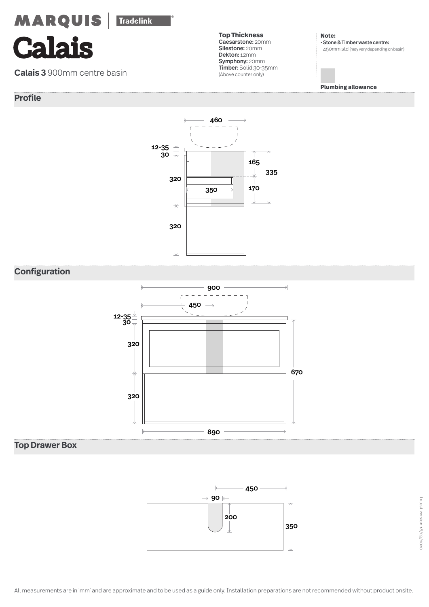**Calais**

**Calais 3** 900mm centre basin

# **Profile**

**Top Thickness** Caesarstone: 20mm Silestone: 20mm Dekton: 12mm Symphony: 20mm Timber: Solid 30-35mm (Above counter only)

**Note:**  • Stone & Timber waste centre: 450mm std (may vary depending on basin)

**Plumbing allowance**



# **Configuration**



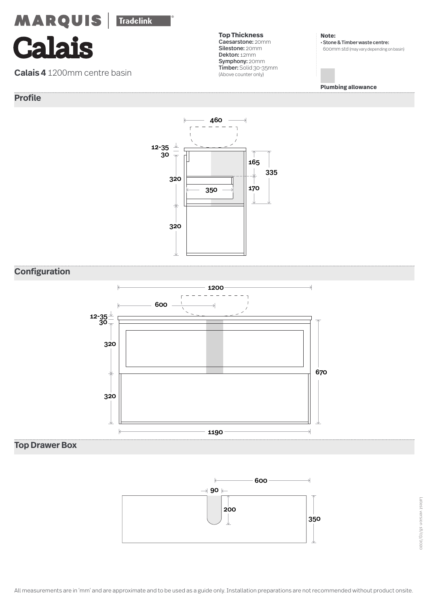**Calais**

**Calais 4** 1200mm centre basin

# **Profile**

**Top Thickness** Caesarstone: 20mm Silestone: 20mm Dekton: 12mm Symphony: 20mm Timber: Solid 30-35mm (Above counter only)

**Note:**  • Stone & Timber waste centre: 600mm std (may vary depending on basin)

**Plumbing allowance**



# **Configuration**



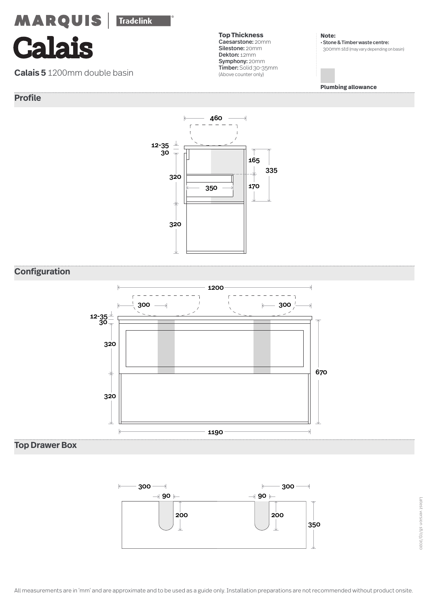**Calais**

**Calais 5** 1200mm double basin

# **Profile**

**Top Thickness** Caesarstone: 20mm Silestone: 20mm Dekton: 12mm Symphony: 20mm Timber: Solid 30-35mm (Above counter only)

**Note:**  • Stone & Timber waste centre: 300mm std (may vary depending on basin)

**Plumbing allowance**



# **Configuration**



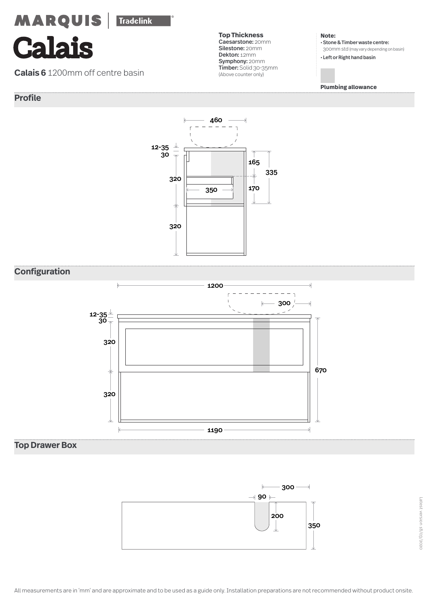**Calais**

**Calais 6** 1200mm off centre basin

# **Profile**



**Note:** 

• Stone & Timber waste centre: 300mm std (may vary depending on basin)

• Left or Right hand basin

**Plumbing allowance**



# **Configuration**



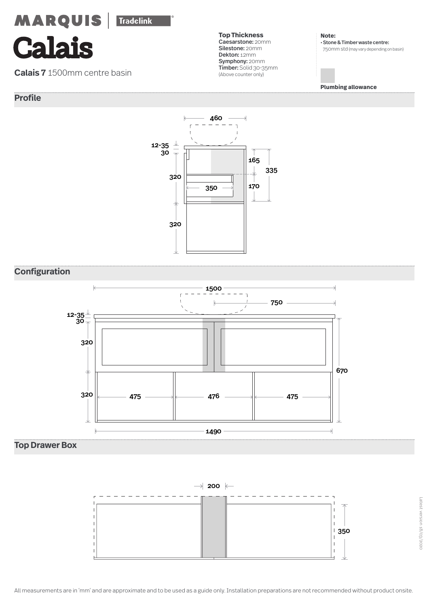**Calais**

**Calais 7** 1500mm centre basin

# **Profile**

**Top Thickness** Caesarstone: 20mm Silestone: 20mm Dekton: 12mm Symphony: 20mm Timber: Solid 30-35mm (Above counter only)

**Note:**  • Stone & Timber waste centre: 750mm std (may vary depending on basin)

**Plumbing allowance**



# **Configuration**



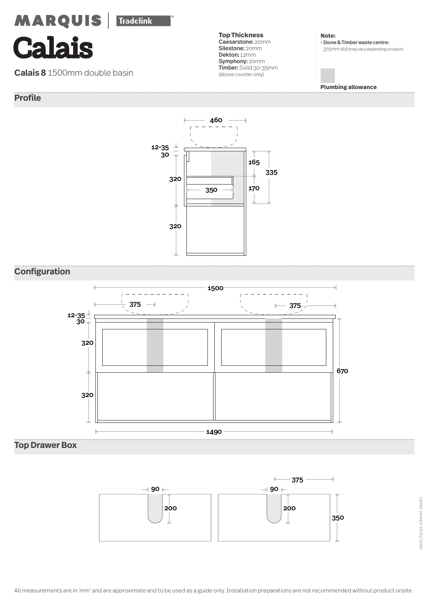# **MARQUIS**

**Tradelink** 

# **Calais**

**Calais 8** 1500mm double basin

# **Profile**

**Top Thickness** Caesarstone: 20mm Silestone: 20mm Dekton: 12mm Symphony: 20mm Timber: Solid 30-35mm (Above counter only)

**Note:**  • Stone & Timber waste centre: 375mm std (may vary depending on basin)

**Plumbing allowance**



# **Configuration**



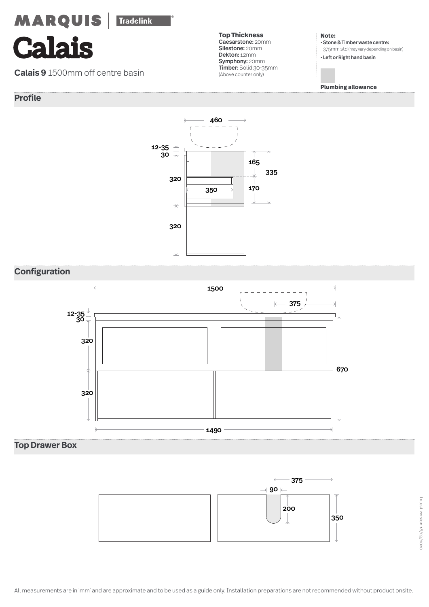**Calais**

**Calais 9** 1500mm off centre basin

# **Profile**



#### **Note:**

• Stone & Timber waste centre: 375mm std (may vary depending on basin) • Left or Right hand basin

**Plumbing allowance**



# **Configuration**



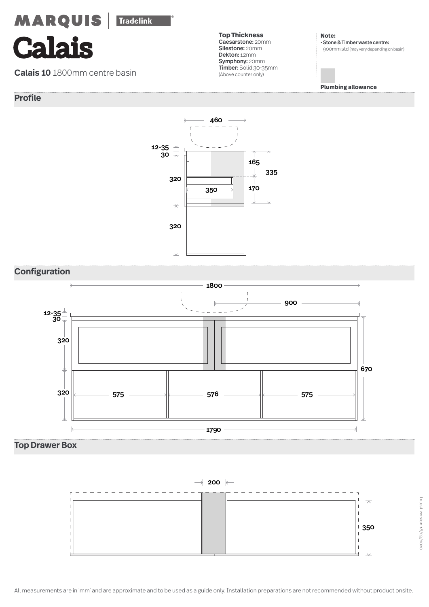**Calais**

**Calais 10** 1800mm centre basin

# **Profile**



**Note:**  • Stone & Timber waste centre: 900mm std (may vary depending on basin)

**Plumbing allowance**



# **Configuration**



**Top Drawer Box**

 $\rightarrow$  200  $\leftarrow$ 

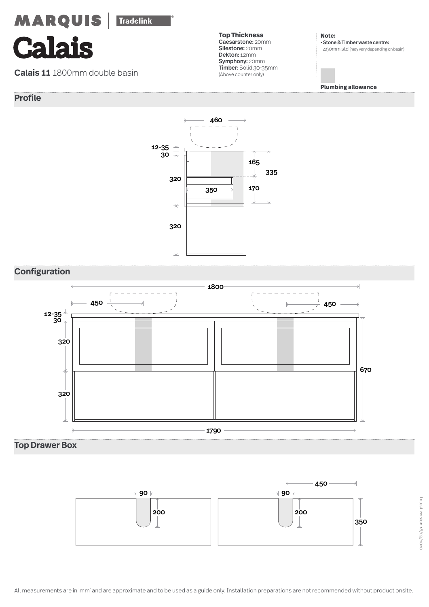**Calais**

**Calais 11** 1800mm double basin

# **Profile**

**Top Thickness** Caesarstone: 20mm Silestone: 20mm Dekton: 12mm Symphony: 20mm Timber: Solid 30-35mm (Above counter only)

**Note:**  • Stone & Timber waste centre: 450mm std (may vary depending on basin)

**Plumbing allowance**



# **Configuration**